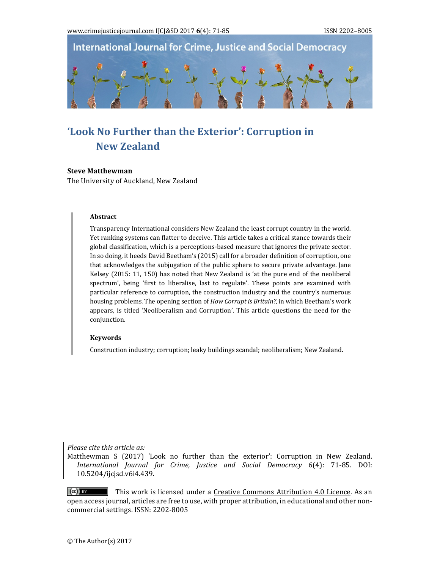**International Journal for Crime, Justice and Social Democracy** 

# **'Look No Further than the Exterior': Corruption in New Zealand**

#### **Steve Matthewman**

The University of Auckland, New Zealand

#### **Abstract**

Transparency International considers New Zealand the least corrupt country in the world. Yet ranking systems can flatter to deceive. This article takes a critical stance towards their global classification, which is a perceptions-based measure that ignores the private sector. In so doing, it heeds David Beetham's (2015) call for a broader definition of corruption, one that acknowledges the subjugation of the public sphere to secure private advantage. Jane Kelsey  $(2015: 11, 150)$  has noted that New Zealand is 'at the pure end of the neoliberal spectrum', being 'first to liberalise, last to regulate'. These points are examined with particular reference to corruption, the construction industry and the country's numerous housing problems. The opening section of *How Corrupt is Britain?*, in which Beetham's work appears, is titled 'Neoliberalism and Corruption'. This article questions the need for the conjunction. 

#### **Keywords**

Construction industry; corruption; leaky buildings scandal; neoliberalism; New Zealand.

*Please cite this article as:*

Matthewman S (2017) 'Look no further than the exterior': Corruption in New Zealand. *International Journal for Crime, Justice and Social Democracy* 6(4): 71‐85. DOI: 10.5204/ijcjsd.v6i4.439. 

 $\overline{f}$   $\overline{f}$   $\overline{f}$  This work is licensed under a Creative Commons Attribution 4.0 Licence. As an open access journal, articles are free to use, with proper attribution, in educational and other noncommercial settings. ISSN: 2202-8005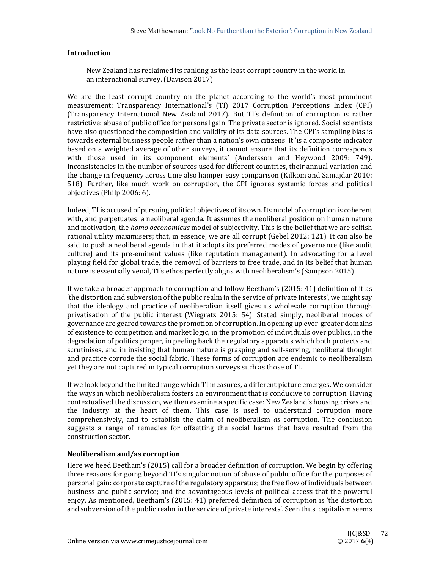## **Introduction**

New Zealand has reclaimed its ranking as the least corrupt country in the world in an international survey. (Davison 2017)

We are the least corrupt country on the planet according to the world's most prominent measurement: Transparency International's (TI) 2017 Corruption Perceptions Index (CPI) (Transparency International New Zealand 2017). But TI's definition of corruption is rather restrictive: abuse of public office for personal gain. The private sector is ignored. Social scientists have also questioned the composition and validity of its data sources. The CPI's sampling bias is towards external business people rather than a nation's own citizens. It 'is a composite indicator based on a weighted average of other surveys, it cannot ensure that its definition corresponds with those used in its component elements' (Andersson and Heywood 2009: 749). Inconsistencies in the number of sources used for different countries, their annual variation and the change in frequency across time also hamper easy comparison (Kilkom and Samajdar 2010: 518). Further, like much work on corruption, the CPI ignores systemic forces and political objectives (Philp 2006: 6).

Indeed, TI is accused of pursuing political objectives of its own. Its model of corruption is coherent with, and perpetuates, a neoliberal agenda. It assumes the neoliberal position on human nature and motivation, the *homo oeconomicus* model of subjectivity. This is the belief that we are selfish rational utility maximisers; that, in essence, we are all corrupt (Gebel 2012: 121). It can also be said to push a neoliberal agenda in that it adopts its preferred modes of governance (like audit culture) and its pre-eminent values (like reputation management). In advocating for a level playing field for global trade, the removal of barriers to free trade, and in its belief that human nature is essentially venal, TI's ethos perfectly aligns with neoliberalism's (Sampson 2015).

If we take a broader approach to corruption and follow Beetham's  $(2015: 41)$  definition of it as the distortion and subversion of the public realm in the service of private interests', we might say that the ideology and practice of neoliberalism itself gives us wholesale corruption through privatisation of the public interest (Wiegratz 2015: 54). Stated simply, neoliberal modes of governance are geared towards the promotion of corruption. In opening up ever-greater domains of existence to competition and market logic, in the promotion of individuals over publics, in the degradation of politics proper, in peeling back the regulatory apparatus which both protects and scrutinises, and in insisting that human nature is grasping and self-serving, neoliberal thought and practice corrode the social fabric. These forms of corruption are endemic to neoliberalism yet they are not captured in typical corruption surveys such as those of TI.

If we look beyond the limited range which TI measures, a different picture emerges. We consider the ways in which neoliberalism fosters an environment that is conducive to corruption. Having contextualised the discussion, we then examine a specific case: New Zealand's housing crises and the industry at the heart of them. This case is used to understand corruption more comprehensively, and to establish the claim of neoliberalism *as* corruption. The conclusion suggests a range of remedies for offsetting the social harms that have resulted from the construction sector.

# **Neoliberalism and/as corruption**

Here we heed Beetham's (2015) call for a broader definition of corruption. We begin by offering three reasons for going beyond TI's singular notion of abuse of public office for the purposes of personal gain: corporate capture of the regulatory apparatus; the free flow of individuals between business and public service; and the advantageous levels of political access that the powerful enjoy. As mentioned, Beetham's (2015: 41) preferred definition of corruption is 'the distortion and subversion of the public realm in the service of private interests'. Seen thus, capitalism seems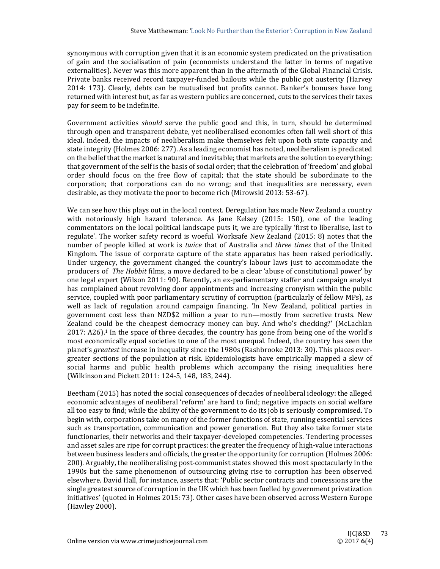synonymous with corruption given that it is an economic system predicated on the privatisation of gain and the socialisation of pain (economists understand the latter in terms of negative externalities). Never was this more apparent than in the aftermath of the Global Financial Crisis. Private banks received record taxpayer-funded bailouts while the public got austerity (Harvey 2014: 173). Clearly, debts can be mutualised but profits cannot. Banker's bonuses have long returned with interest but, as far as western publics are concerned, cuts to the services their taxes pay for seem to be indefinite.

Government activities *should* serve the public good and this, in turn, should be determined through open and transparent debate, yet neoliberalised economies often fall well short of this ideal. Indeed, the impacts of neoliberalism make themselves felt upon both state capacity and state integrity (Holmes 2006: 277). As a leading economist has noted, neoliberalism is predicated on the belief that the market is natural and inevitable; that markets are the solution to everything; that government of the self is the basis of social order; that the celebration of 'freedom' and global order should focus on the free flow of capital; that the state should be subordinate to the corporation; that corporations can do no wrong; and that inequalities are necessary, even desirable, as they motivate the poor to become rich (Mirowski 2013: 53-67).

We can see how this plays out in the local context. Deregulation has made New Zealand a country with notoriously high hazard tolerance. As Jane Kelsey  $(2015: 150)$ , one of the leading commentators on the local political landscape puts it, we are typically 'first to liberalise, last to regulate'. The worker safety record is woeful. Worksafe New Zealand (2015: 8) notes that the number of people killed at work is *twice* that of Australia and *three times* that of the United Kingdom. The issue of corporate capture of the state apparatus has been raised periodically. Under urgency, the government changed the country's labour laws just to accommodate the producers of The Hobbit films, a move declared to be a clear 'abuse of constitutional power' by one legal expert (Wilson 2011: 90). Recently, an ex-parliamentary staffer and campaign analyst has complained about revolving door appointments and increasing cronyism within the public service, coupled with poor parliamentary scrutiny of corruption (particularly of fellow MPs), as well as lack of regulation around campaign financing. 'In New Zealand, political parties in government cost less than NZD\$2 million a year to run—mostly from secretive trusts. New Zealand could be the cheapest democracy money can buy. And who's checking?' (McLachlan  $2017: A26$ .<sup>1</sup> In the space of three decades, the country has gone from being one of the world's most economically equal societies to one of the most unequal. Indeed, the country has seen the planet's greatest increase in inequality since the 1980s (Rashbrooke 2013: 30). This places evergreater sections of the population at risk. Epidemiologists have empirically mapped a slew of social harms and public health problems which accompany the rising inequalities here (Wilkinson and Pickett 2011: 124-5, 148, 183, 244).

Beetham (2015) has noted the social consequences of decades of neoliberal ideology: the alleged economic advantages of neoliberal 'reform' are hard to find; negative impacts on social welfare all too easy to find; while the ability of the government to do its job is seriously compromised. To begin with, corporations take on many of the former functions of state, running essential services such as transportation, communication and power generation. But they also take former state functionaries, their networks and their taxpayer-developed competencies. Tendering processes and asset sales are ripe for corrupt practices: the greater the frequency of high-value interactions between business leaders and officials, the greater the opportunity for corruption (Holmes 2006: 200). Arguably, the neoliberalising post-communist states showed this most spectacularly in the 1990s but the same phenomenon of outsourcing giving rise to corruption has been observed elsewhere. David Hall, for instance, asserts that: 'Public sector contracts and concessions are the single greatest source of corruption in the UK which has been fuelled by government privatization initiatives' (quoted in Holmes 2015: 73). Other cases have been observed across Western Europe (Hawley 2000).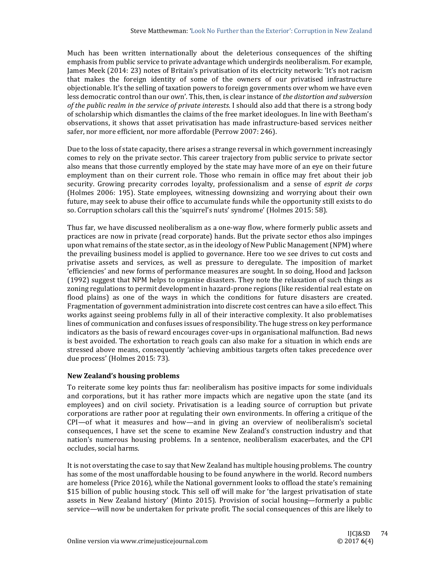Much has been written internationally about the deleterious consequences of the shifting emphasis from public service to private advantage which undergirds neoliberalism. For example, James Meek (2014: 23) notes of Britain's privatisation of its electricity network: 'It's not racism that makes the foreign identity of some of the owners of our privatised infrastructure objectionable. It's the selling of taxation powers to foreign governments over whom we have even less democratic control than our own'. This, then, is clear instance of *the distortion and subversion of the public realm in the service of private interests*. I should also add that there is a strong body of scholarship which dismantles the claims of the free market ideologues. In line with Beetham's observations, it shows that asset privatisation has made infrastructure-based services neither safer, nor more efficient, nor more affordable (Perrow 2007: 246).

Due to the loss of state capacity, there arises a strange reversal in which government increasingly comes to rely on the private sector. This career trajectory from public service to private sector also means that those currently employed by the state may have more of an eye on their future employment than on their current role. Those who remain in office may fret about their job security. Growing precarity corrodes loyalty, professionalism and a sense of *esprit de corps* (Holmes 2006: 195). State employees, witnessing downsizing and worrying about their own future, may seek to abuse their office to accumulate funds while the opportunity still exists to do so. Corruption scholars call this the 'squirrel's nuts' syndrome' (Holmes 2015: 58).

Thus far, we have discussed neoliberalism as a one-way flow, where formerly public assets and practices are now in private (read corporate) hands. But the private sector ethos also impinges upon what remains of the state sector, as in the ideology of New Public Management (NPM) where the prevailing business model is applied to governance. Here too we see drives to cut costs and privatise assets and services, as well as pressure to deregulate. The imposition of market 'efficiencies' and new forms of performance measures are sought. In so doing, Hood and Jackson (1992) suggest that NPM helps to organise disasters. They note the relaxation of such things as zoning regulations to permit development in hazard-prone regions (like residential real estate on flood plains) as one of the ways in which the conditions for future disasters are created. Fragmentation of government administration into discrete cost centres can have a silo effect. This works against seeing problems fully in all of their interactive complexity. It also problematises lines of communication and confuses issues of responsibility. The huge stress on key performance indicators as the basis of reward encourages cover-ups in organisational malfunction. Bad news is best avoided. The exhortation to reach goals can also make for a situation in which ends are stressed above means, consequently 'achieving ambitious targets often takes precedence over due process' (Holmes 2015: 73).

## **New Zealand's housing problems**

To reiterate some key points thus far: neoliberalism has positive impacts for some individuals and corporations, but it has rather more impacts which are negative upon the state (and its employees) and on civil society. Privatisation is a leading source of corruption but private corporations are rather poor at regulating their own environments. In offering a critique of the  $CPI$ —of what it measures and how—and in giving an overview of neoliberalism's societal consequences, I have set the scene to examine New Zealand's construction industry and that nation's numerous housing problems. In a sentence, neoliberalism exacerbates, and the CPI occludes, social harms.

It is not overstating the case to say that New Zealand has multiple housing problems. The country has some of the most unaffordable housing to be found anywhere in the world. Record numbers are homeless (Price 2016), while the National government looks to offload the state's remaining \$15 billion of public housing stock. This sell off will make for 'the largest privatisation of state assets in New Zealand history' (Minto 2015). Provision of social housing—formerly a public service—will now be undertaken for private profit. The social consequences of this are likely to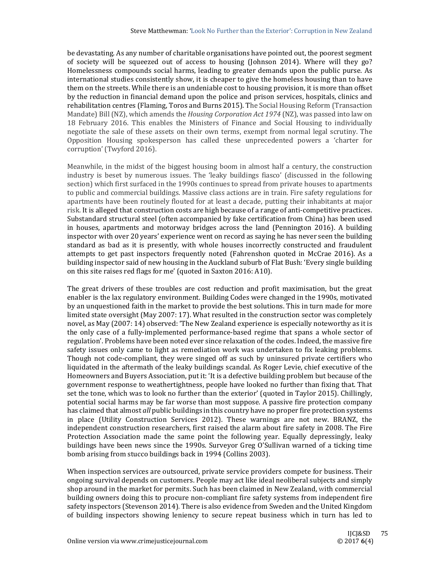be devastating. As any number of charitable organisations have pointed out, the poorest segment of society will be squeezed out of access to housing (Johnson 2014). Where will they go? Homelessness compounds social harms, leading to greater demands upon the public purse. As international studies consistently show, it is cheaper to give the homeless housing than to have them on the streets. While there is an undeniable cost to housing provision, it is more than offset by the reduction in financial demand upon the police and prison services, hospitals, clinics and rehabilitation centres (Flaming, Toros and Burns 2015). The Social Housing Reform (Transaction Mandate) Bill (NZ), which amends the *Housing Corporation Act 1974* (NZ), was passed into law on 18 February 2016. This enables the Ministers of Finance and Social Housing to individually negotiate the sale of these assets on their own terms, exempt from normal legal scrutiny. The Opposition Housing spokesperson has called these unprecedented powers a 'charter for corruption' (Twyford 2016).

Meanwhile, in the midst of the biggest housing boom in almost half a century, the construction industry is beset by numerous issues. The 'leaky buildings fiasco' (discussed in the following section) which first surfaced in the 1990s continues to spread from private houses to apartments to public and commercial buildings. Massive class actions are in train. Fire safety regulations for apartments have been routinely flouted for at least a decade, putting their inhabitants at major risk. It is alleged that construction costs are high because of a range of anti-competitive practices. Substandard structural steel (often accompanied by fake certification from China) has been used in houses, apartments and motorway bridges across the land (Pennington 2016). A building inspector with over 20 years' experience went on record as saying he has never seen the building standard as bad as it is presently, with whole houses incorrectly constructed and fraudulent attempts to get past inspectors frequently noted (Fahrenshon quoted in McCrae 2016). As a building inspector said of new housing in the Auckland suburb of Flat Bush: 'Every single building on this site raises red flags for me' (quoted in Saxton 2016: A10).

The great drivers of these troubles are cost reduction and profit maximisation, but the great enabler is the lax regulatory environment. Building Codes were changed in the 1990s, motivated by an unquestioned faith in the market to provide the best solutions. This in turn made for more limited state oversight (May 2007: 17). What resulted in the construction sector was completely novel, as May (2007: 14) observed: 'The New Zealand experience is especially noteworthy as it is the only case of a fully-implemented performance-based regime that spans a whole sector of regulation'. Problems have been noted ever since relaxation of the codes. Indeed, the massive fire safety issues only came to light as remediation work was undertaken to fix leaking problems. Though not code-compliant, they were singed off as such by uninsured private certifiers who liquidated in the aftermath of the leaky buildings scandal. As Roger Levie, chief executive of the Homeowners and Buyers Association, put it: 'It is a defective building problem but because of the government response to weathertightness, people have looked no further than fixing that. That set the tone, which was to look no further than the exterior' (quoted in Taylor 2015). Chillingly, potential social harms may be far worse than most suppose. A passive fire protection company has claimed that almost *all* public buildings in this country have no proper fire protection systems in place (Utility Construction Services 2012). These warnings are not new. BRANZ, the independent construction researchers, first raised the alarm about fire safety in 2008. The Fire Protection Association made the same point the following year. Equally depressingly, leaky buildings have been news since the 1990s. Surveyor Greg O'Sullivan warned of a ticking time bomb arising from stucco buildings back in 1994 (Collins 2003).

When inspection services are outsourced, private service providers compete for business. Their ongoing survival depends on customers. People may act like ideal neoliberal subjects and simply shop around in the market for permits. Such has been claimed in New Zealand, with commercial building owners doing this to procure non-compliant fire safety systems from independent fire safety inspectors (Stevenson 2014). There is also evidence from Sweden and the United Kingdom of building inspectors showing leniency to secure repeat business which in turn has led to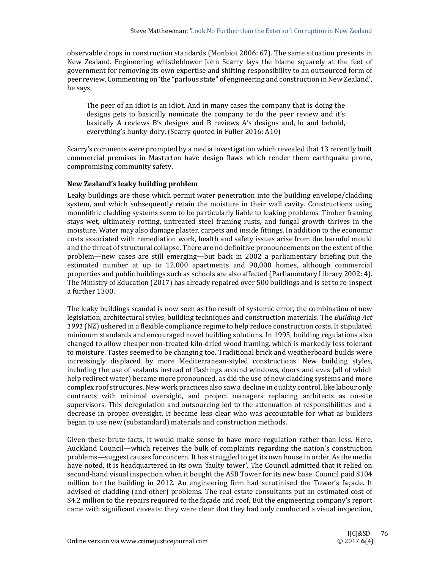observable drops in construction standards (Monbiot 2006: 67). The same situation presents in New Zealand. Engineering whistleblower John Scarry lays the blame squarely at the feet of government for removing its own expertise and shifting responsibility to an outsourced form of peer review. Commenting on 'the "parlous state" of engineering and construction in New Zealand', he says,

The peer of an idiot is an idiot. And in many cases the company that is doing the designs gets to basically nominate the company to do the peer review and it's basically A reviews B's designs and B reviews A's designs and, lo and behold, everything's hunky-dory. (Scarry quoted in Fuller 2016: A10)

Scarry's comments were prompted by a media investigation which revealed that 13 recently built commercial premises in Masterton have design flaws which render them earthquake prone, compromising community safety.

# **New Zealand's leaky building problem**

Leaky buildings are those which permit water penetration into the building envelope/cladding system, and which subsequently retain the moisture in their wall cavity. Constructions using monolithic cladding systems seem to be particularly liable to leaking problems. Timber framing stays wet, ultimately rotting, untreated steel framing rusts, and fungal growth thrives in the moisture. Water may also damage plaster, carpets and inside fittings. In addition to the economic costs associated with remediation work, health and safety issues arise from the harmful mould and the threat of structural collapse. There are no definitive pronouncements on the extent of the problem—new cases are still emerging—but back in 2002 a parliamentary briefing put the estimated number at up to  $12,000$  apartments and  $90,000$  homes, although commercial properties and public buildings such as schools are also affected (Parliamentary Library 2002: 4). The Ministry of Education  $(2017)$  has already repaired over  $500$  buildings and is set to re-inspect a further 1300.

The leaky buildings scandal is now seen as the result of systemic error, the combination of new legislation, architectural styles, building techniques and construction materials. The *Building Act* 1991 (NZ) ushered in a flexible compliance regime to help reduce construction costs. It stipulated minimum standards and encouraged novel building solutions. In 1995, building regulations also changed to allow cheaper non-treated kiln-dried wood framing, which is markedly less tolerant to moisture. Tastes seemed to be changing too. Traditional brick and weatherboard builds were increasingly displaced by more Mediterranean-styled constructions. New building styles, including the use of sealants instead of flashings around windows, doors and eves (all of which help redirect water) became more pronounced, as did the use of new cladding systems and more complex roof structures. New work practices also saw a decline in quality control, like labour only contracts with minimal oversight, and project managers replacing architects as on-site supervisors. This deregulation and outsourcing led to the attenuation of responsibilities and a decrease in proper oversight. It became less clear who was accountable for what as builders began to use new (substandard) materials and construction methods.

Given these brute facts, it would make sense to have more regulation rather than less. Here, Auckland Council—which receives the bulk of complaints regarding the nation's construction problems—suggest causes for concern. It has struggled to get its own house in order. As the media have noted, it is headquartered in its own 'faulty tower'. The Council admitted that it relied on second-hand visual inspection when it bought the ASB Tower for its new base. Council paid \$104 million for the building in 2012. An engineering firm had scrutinised the Tower's façade. It advised of cladding (and other) problems. The real estate consultants put an estimated cost of \$4.2 million to the repairs required to the facade and roof. But the engineering company's report came with significant caveats: they were clear that they had only conducted a visual inspection,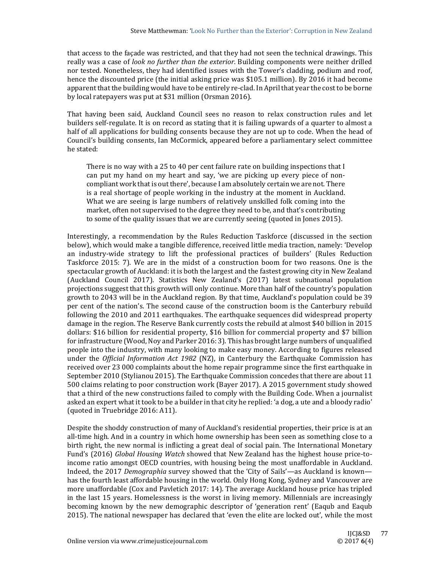that access to the facade was restricted, and that they had not seen the technical drawings. This really was a case of *look no further than the exterior*. Building components were neither drilled nor tested. Nonetheless, they had identified issues with the Tower's cladding, podium and roof, hence the discounted price (the initial asking price was \$105.1 million). By 2016 it had become apparent that the building would have to be entirely re-clad. In April that year the cost to be borne by local ratepayers was put at \$31 million (Orsman 2016).

That having been said, Auckland Council sees no reason to relax construction rules and let builders self-regulate. It is on record as stating that it is failing upwards of a quarter to almost a half of all applications for building consents because they are not up to code. When the head of Council's building consents, Ian McCormick, appeared before a parliamentary select committee he stated:

There is no way with a 25 to 40 per cent failure rate on building inspections that  $I$ can put my hand on my heart and say, 'we are picking up every piece of noncompliant work that is out there', because I am absolutely certain we are not. There is a real shortage of people working in the industry at the moment in Auckland. What we are seeing is large numbers of relatively unskilled folk coming into the market, often not supervised to the degree they need to be, and that's contributing to some of the quality issues that we are currently seeing (quoted in Jones 2015).

Interestingly, a recommendation by the Rules Reduction Taskforce (discussed in the section below), which would make a tangible difference, received little media traction, namely: 'Develop an industry-wide strategy to lift the professional practices of builders' (Rules Reduction Taskforce 2015: 7). We are in the midst of a construction boom for two reasons. One is the spectacular growth of Auckland: it is both the largest and the fastest growing city in New Zealand (Auckland Council 2017). Statistics New Zealand's (2017) latest subnational population projections suggest that this growth will only continue. More than half of the country's population growth to 2043 will be in the Auckland region. By that time, Auckland's population could be  $39$ per cent of the nation's. The second cause of the construction boom is the Canterbury rebuild following the 2010 and 2011 earthquakes. The earthquake sequences did widespread property damage in the region. The Reserve Bank currently costs the rebuild at almost \$40 billion in 2015 dollars: \$16 billion for residential property, \$16 billion for commercial property and \$7 billion for infrastructure (Wood, Noy and Parker 2016: 3). This has brought large numbers of unqualified people into the industry, with many looking to make easy money. According to figures released under the *Official Information Act* 1982 (NZ), in Canterbury the Earthquake Commission has received over 23 000 complaints about the home repair programme since the first earthquake in September 2010 (Stylianou 2015). The Earthquake Commission concedes that there are about 11 500 claims relating to poor construction work (Bayer 2017). A 2015 government study showed that a third of the new constructions failed to comply with the Building Code. When a journalist asked an expert what it took to be a builder in that city he replied: 'a dog, a ute and a bloody radio' (quoted in Truebridge 2016: A11).

Despite the shoddy construction of many of Auckland's residential properties, their price is at an all-time high. And in a country in which home ownership has been seen as something close to a birth right, the new normal is inflicting a great deal of social pain. The International Monetary Fund's (2016) *Global Housing Watch* showed that New Zealand has the highest house price-toincome ratio amongst OECD countries, with housing being the most unaffordable in Auckland. Indeed, the 2017 *Demographia* survey showed that the 'City of Sails'—as Auckland is known has the fourth least affordable housing in the world. Only Hong Kong, Sydney and Vancouver are more unaffordable  $(Cox$  and Pavletich 2017: 14). The average Auckland house price has tripled in the last 15 years. Homelessness is the worst in living memory. Millennials are increasingly becoming known by the new demographic descriptor of 'generation rent' (Eaqub and Eaqub 2015). The national newspaper has declared that 'even the elite are locked out', while the most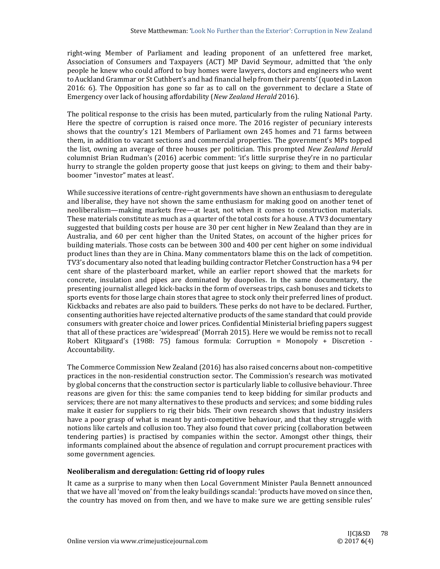right-wing Member of Parliament and leading proponent of an unfettered free market, Association of Consumers and Taxpayers (ACT) MP David Seymour, admitted that 'the only people he knew who could afford to buy homes were lawyers, doctors and engineers who went to Auckland Grammar or St Cuthbert's and had financial help from their parents' (quoted in Laxon  $2016: 6$ ). The Opposition has gone so far as to call on the government to declare a State of Emergency over lack of housing affordability (*New Zealand Herald* 2016). 

The political response to the crisis has been muted, particularly from the ruling National Party. Here the spectre of corruption is raised once more. The 2016 register of pecuniary interests shows that the country's 121 Members of Parliament own 245 homes and 71 farms between them, in addition to vacant sections and commercial properties. The government's MPs topped the list, owning an average of three houses per politician. This prompted *New Zealand Herald* columnist Brian Rudman's (2016) acerbic comment: 'it's little surprise they're in no particular hurry to strangle the golden property goose that just keeps on giving; to them and their babyboomer "investor" mates at least'.

While successive iterations of centre-right governments have shown an enthusiasm to deregulate and liberalise, they have not shown the same enthusiasm for making good on another tenet of neoliberalism—making markets free—at least, not when it comes to construction materials. These materials constitute as much as a quarter of the total costs for a house. A TV3 documentary suggested that building costs per house are 30 per cent higher in New Zealand than they are in Australia, and 60 per cent higher than the United States, on account of the higher prices for building materials. Those costs can be between 300 and 400 per cent higher on some individual product lines than they are in China. Many commentators blame this on the lack of competition. TV3's documentary also noted that leading building contractor Fletcher Construction has a 94 per cent share of the plasterboard market, while an earlier report showed that the markets for concrete, insulation and pipes are dominated by duopolies. In the same documentary, the presenting journalist alleged kick-backs in the form of overseas trips, cash bonuses and tickets to sports events for those large chain stores that agree to stock only their preferred lines of product. Kickbacks and rebates are also paid to builders. These perks do not have to be declared. Further, consenting authorities have rejected alternative products of the same standard that could provide consumers with greater choice and lower prices. Confidential Ministerial briefing papers suggest that all of these practices are 'widespread' (Morrah 2015). Here we would be remiss not to recall Robert Klitgaard's (1988: 75) famous formula: Corruption = Monopoly + Discretion -Accountability. 

The Commerce Commission New Zealand (2016) has also raised concerns about non-competitive practices in the non-residential construction sector. The Commission's research was motivated by global concerns that the construction sector is particularly liable to collusive behaviour. Three reasons are given for this: the same companies tend to keep bidding for similar products and services; there are not many alternatives to these products and services; and some bidding rules make it easier for suppliers to rig their bids. Their own research shows that industry insiders have a poor grasp of what is meant by anti-competitive behaviour, and that they struggle with notions like cartels and collusion too. They also found that cover pricing (collaboration between tendering parties) is practised by companies within the sector. Amongst other things, their informants complained about the absence of regulation and corrupt procurement practices with some government agencies.

## **Neoliberalism and deregulation: Getting rid of loopy rules**

It came as a surprise to many when then Local Government Minister Paula Bennett announced that we have all 'moved on' from the leaky buildings scandal: 'products have moved on since then, the country has moved on from then, and we have to make sure we are getting sensible rules'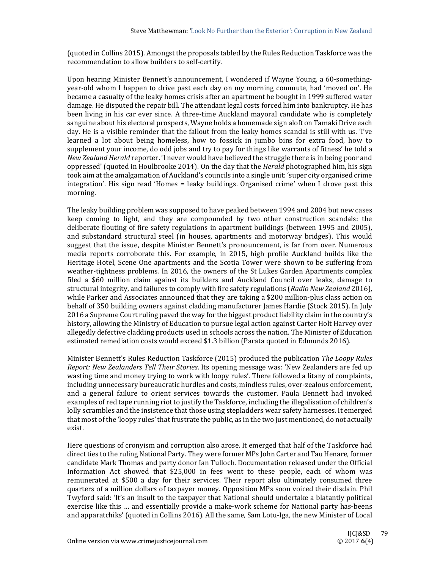(quoted in Collins 2015). Amongst the proposals tabled by the Rules Reduction Taskforce was the recommendation to allow builders to self-certify.

Upon hearing Minister Bennett's announcement, I wondered if Wayne Young, a 60-somethingyear-old whom I happen to drive past each day on my morning commute, had 'moved on'. He became a casualty of the leaky homes crisis after an apartment he bought in 1999 suffered water damage. He disputed the repair bill. The attendant legal costs forced him into bankruptcy. He has been living in his car ever since. A three-time Auckland mayoral candidate who is completely sanguine about his electoral prospects, Wayne holds a homemade sign aloft on Tamaki Drive each day. He is a visible reminder that the fallout from the leaky homes scandal is still with us. Tve learned a lot about being homeless, how to fossick in jumbo bins for extra food, how to supplement your income, do odd jobs and try to pay for things like warrants of fitness' he told a *New Zealand Herald* reporter. 'I never would have believed the struggle there is in being poor and oppressed' (quoted in Houlbrooke 2014). On the day that the *Herald* photographed him, his sign took aim at the amalgamation of Auckland's councils into a single unit: 'super city organised crime integration'. His sign read 'Homes  $=$  leaky buildings. Organised crime' when I drove past this morning. 

The leaky building problem was supposed to have peaked between 1994 and 2004 but new cases keep coming to light, and they are compounded by two other construction scandals: the deliberate flouting of fire safety regulations in apartment buildings (between 1995 and 2005), and substandard structural steel (in houses, apartments and motorway bridges). This would suggest that the issue, despite Minister Bennett's pronouncement, is far from over. Numerous media reports corroborate this. For example, in 2015, high profile Auckland builds like the Heritage Hotel, Scene One apartments and the Scotia Tower were shown to be suffering from weather-tightness problems. In 2016, the owners of the St Lukes Garden Apartments complex filed a \$60 million claim against its builders and Auckland Council over leaks, damage to structural integrity, and failures to comply with fire safety regulations (*Radio New Zealand* 2016), while Parker and Associates announced that they are taking a \$200 million-plus class action on behalf of 350 building owners against cladding manufacturer James Hardie (Stock 2015). In July 2016 a Supreme Court ruling paved the way for the biggest product liability claim in the country's history, allowing the Ministry of Education to pursue legal action against Carter Holt Harvey over allegedly defective cladding products used in schools across the nation. The Minister of Education estimated remediation costs would exceed \$1.3 billion (Parata quoted in Edmunds 2016).

Minister Bennett's Rules Reduction Taskforce (2015) produced the publication *The Loopy Rules Report: New Zealanders Tell Their Stories*. Its opening message was: 'New Zealanders are fed up wasting time and money trying to work with loopy rules'. There followed a litany of complaints, including unnecessary bureaucratic hurdles and costs, mindless rules, over-zealous enforcement, and a general failure to orient services towards the customer. Paula Bennett had invoked examples of red tape running riot to justify the Taskforce, including the illegalisation of children's lolly scrambles and the insistence that those using stepladders wear safety harnesses. It emerged that most of the 'loopy rules' that frustrate the public, as in the two just mentioned, do not actually exist. 

Here questions of cronyism and corruption also arose. It emerged that half of the Taskforce had direct ties to the ruling National Party. They were former MPs John Carter and Tau Henare, former candidate Mark Thomas and party donor Ian Tulloch. Documentation released under the Official Information Act showed that  $$25,000$  in fees went to these people, each of whom was remunerated at \$500 a day for their services. Their report also ultimately consumed three quarters of a million dollars of taxpayer money. Opposition MPs soon voiced their disdain. Phil Twyford said: 'It's an insult to the taxpayer that National should undertake a blatantly political exercise like this ... and essentially provide a make-work scheme for National party has-beens and apparatchiks' (quoted in Collins 2016). All the same, Sam Lotu-Iga, the new Minister of Local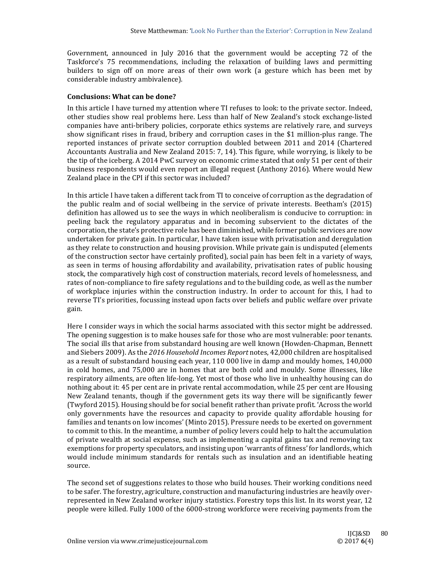Government, announced in July 2016 that the government would be accepting 72 of the Taskforce's 75 recommendations, including the relaxation of building laws and permitting builders to sign off on more areas of their own work (a gesture which has been met by considerable industry ambivalence).

## **Conclusions: What can be done?**

In this article I have turned my attention where TI refuses to look: to the private sector. Indeed, other studies show real problems here. Less than half of New Zealand's stock exchange-listed companies have anti-bribery policies, corporate ethics systems are relatively rare, and surveys show significant rises in fraud, bribery and corruption cases in the \$1 million-plus range. The reported instances of private sector corruption doubled between 2011 and 2014 (Chartered Accountants Australia and New Zealand 2015: 7, 14). This figure, while worrying, is likely to be the tip of the iceberg. A 2014 PwC survey on economic crime stated that only 51 per cent of their business respondents would even report an illegal request (Anthony 2016). Where would New Zealand place in the CPI if this sector was included?

In this article I have taken a different tack from TI to conceive of corruption as the degradation of the public realm and of social wellbeing in the service of private interests. Beetham's (2015) definition has allowed us to see the ways in which neoliberalism is conducive to corruption: in peeling back the regulatory apparatus and in becoming subservient to the dictates of the corporation, the state's protective role has been diminished, while former public services are now undertaken for private gain. In particular, I have taken issue with privatisation and deregulation as they relate to construction and housing provision. While private gain is undisputed (elements of the construction sector have certainly profited), social pain has been felt in a variety of ways, as seen in terms of housing affordability and availability, privatisation rates of public housing stock, the comparatively high cost of construction materials, record levels of homelessness, and rates of non-compliance to fire safety regulations and to the building code, as well as the number of workplace injuries within the construction industry. In order to account for this, I had to reverse TI's priorities, focussing instead upon facts over beliefs and public welfare over private gain. 

Here I consider ways in which the social harms associated with this sector might be addressed. The opening suggestion is to make houses safe for those who are most vulnerable: poor tenants. The social ills that arise from substandard housing are well known (Howden-Chapman, Bennett and Siebers 2009). As the 2016 *Household Incomes Report* notes, 42,000 children are hospitalised as a result of substandard housing each year,  $110\,000$  live in damp and mouldy homes,  $140,000$ in cold homes, and 75,000 are in homes that are both cold and mouldy. Some illnesses, like respiratory ailments, are often life-long. Yet most of those who live in unhealthy housing can do nothing about it: 45 per cent are in private rental accommodation, while 25 per cent are Housing New Zealand tenants, though if the government gets its way there will be significantly fewer (Twyford 2015). Housing should be for social benefit rather than private profit. 'Across the world only governments have the resources and capacity to provide quality affordable housing for families and tenants on low incomes' (Minto 2015). Pressure needs to be exerted on government to commit to this. In the meantime, a number of policy levers could help to halt the accumulation of private wealth at social expense, such as implementing a capital gains tax and removing tax exemptions for property speculators, and insisting upon 'warrants of fitness' for landlords, which would include minimum standards for rentals such as insulation and an identifiable heating source. 

The second set of suggestions relates to those who build houses. Their working conditions need to be safer. The forestry, agriculture, construction and manufacturing industries are heavily overrepresented in New Zealand worker injury statistics. Forestry tops this list. In its worst year, 12 people were killed. Fully 1000 of the 6000-strong workforce were receiving payments from the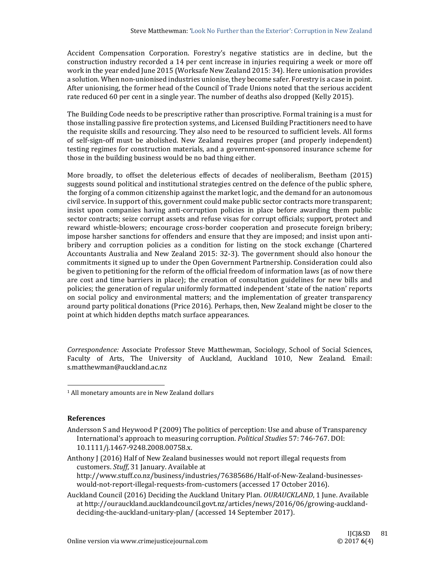Accident Compensation Corporation. Forestry's negative statistics are in decline, but the construction industry recorded a 14 per cent increase in injuries requiring a week or more off work in the year ended June 2015 (Worksafe New Zealand 2015: 34). Here unionisation provides a solution. When non-unionised industries unionise, they become safer. Forestry is a case in point. After unionising, the former head of the Council of Trade Unions noted that the serious accident rate reduced 60 per cent in a single year. The number of deaths also dropped (Kelly 2015).

The Building Code needs to be prescriptive rather than proscriptive. Formal training is a must for those installing passive fire protection systems, and Licensed Building Practitioners need to have the requisite skills and resourcing. They also need to be resourced to sufficient levels. All forms of self-sign-off must be abolished. New Zealand requires proper (and properly independent) testing regimes for construction materials, and a government-sponsored insurance scheme for those in the building business would be no bad thing either.

More broadly, to offset the deleterious effects of decades of neoliberalism, Beetham (2015) suggests sound political and institutional strategies centred on the defence of the public sphere, the forging of a common citizenship against the market logic, and the demand for an autonomous civil service. In support of this, government could make public sector contracts more transparent; insist upon companies having anti-corruption policies in place before awarding them public sector contracts; seize corrupt assets and refuse visas for corrupt officials; support, protect and reward whistle‐blowers; encourage cross‐border cooperation and prosecute foreign bribery; impose harsher sanctions for offenders and ensure that they are imposed; and insist upon antibribery and corruption policies as a condition for listing on the stock exchange (Chartered Accountants Australia and New Zealand 2015: 32-3). The government should also honour the commitments it signed up to under the Open Government Partnership. Consideration could also be given to petitioning for the reform of the official freedom of information laws (as of now there are cost and time barriers in place); the creation of consultation guidelines for new bills and policies; the generation of regular uniformly formatted independent 'state of the nation' reports on social policy and environmental matters; and the implementation of greater transparency around party political donations (Price 2016). Perhaps, then, New Zealand might be closer to the point at which hidden depths match surface appearances.

*Correspondence:* Associate Professor Steve Matthewman, Sociology, School of Social Sciences, Faculty of Arts, The University of Auckland, Auckland 1010, New Zealand. Email: s.matthewman@auckland.ac.nz 

 

#### **References**

Andersson S and Heywood P (2009) The politics of perception: Use and abuse of Transparency International's approach to measuring corruption. *Political Studies* 57: 746-767. DOI: 10.1111/j.1467‐9248.2008.00758.x. 

Anthony J (2016) Half of New Zealand businesses would not report illegal requests from customers. *Stuff*, 31 January. Available at http://www.stuff.co.nz/business/industries/76385686/Half‐of‐New‐Zealand‐businesses‐ would-not-report-illegal-requests-from-customers (accessed 17 October 2016).

Auckland Council (2016) Deciding the Auckland Unitary Plan. *OURAUCKLAND*, 1 June. Available at http://ourauckland.aucklandcouncil.govt.nz/articles/news/2016/06/growing-aucklanddeciding-the-auckland-unitary-plan/ (accessed 14 September 2017).

 $1$  All monetary amounts are in New Zealand dollars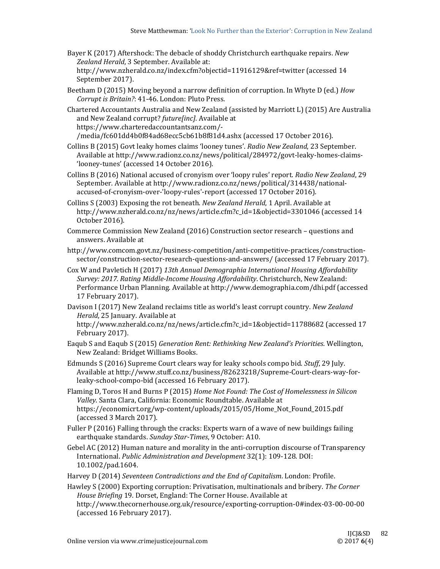- Bayer K (2017) Aftershock: The debacle of shoddy Christchurch earthquake repairs. *New* Zealand *Herald*, 3 September. Available at: http://www.nzherald.co.nz/index.cfm?objectid=11916129&ref=twitter (accessed 14
	- September 2017).
- Beetham D (2015) Moving beyond a narrow definition of corruption. In Whyte D (ed.) *How Corrupt is Britain?*: 41‐46. London: Pluto Press.
- Chartered Accountants Australia and New Zealand (assisted by Marriott L) (2015) Are Australia and New Zealand corrupt? *future[inc]*. Available at https://www.charteredaccountantsanz.com/‐ /media/fc601dd4b0f84ad68ecc5cb61b8f81d4.ashx (accessed 17 October 2016).
- Collins B (2015) Govt leaky homes claims 'looney tunes'. *Radio New Zealand*, 23 September. Available at http://www.radionz.co.nz/news/political/284972/govt-leaky-homes-claims-'looney-tunes' (accessed 14 October 2016).
- Collins B (2016) National accused of cronyism over 'loopy rules' report. *Radio New Zealand*, 29 September. Available at http://www.radionz.co.nz/news/political/314438/nationalaccused-of-cronyism-over-'loopy-rules'-report (accessed 17 October 2016).
- Collins S (2003) Exposing the rot beneath. *New Zealand Herald*, 1 April. Available at http://www.nzherald.co.nz/nz/news/article.cfm?c\_id=1&objectid=3301046 (accessed 14 October 2016).
- Commerce Commission New Zealand (2016) Construction sector research questions and answers. Available at
- http://www.comcom.govt.nz/business-competition/anti-competitive-practices/constructionsector/construction-sector-research-questions-and-answers/ (accessed 17 February 2017).
- Cox W and Pavletich H (2017) *13th Annual Demographia International Housing Affordability Survey: 2017. Rating Middle‐Income Housing Affordability*. Christchurch, New Zealand: Performance Urban Planning. Available at http://www.demographia.com/dhi.pdf (accessed 17 February 2017).
- Davison I (2017) New Zealand reclaims title as world's least corrupt country. *New Zealand Herald*, 25 January. Available at http://www.nzherald.co.nz/nz/news/article.cfm?c\_id=1&objectid=11788682 (accessed 17 February 2017).
- Eaqub S and Eaqub S (2015) *Generation Rent: Rethinking New Zealand's Priorities*. Wellington, New Zealand: Bridget Williams Books.
- Edmunds S (2016) Supreme Court clears way for leaky schools compo bid. *Stuff*, 29 July. Available at http://www.stuff.co.nz/business/82623218/Supreme-Court-clears-way-forleaky-school-compo-bid (accessed 16 February 2017).
- Flaming D, Toros H and Burns P (2015) *Home Not Found: The Cost of Homelessness in Silicon* Valley. Santa Clara, California: Economic Roundtable. Available at https://economicrt.org/wp‐content/uploads/2015/05/Home\_Not\_Found\_2015.pdf (accessed 3 March 2017).
- Fuller  $P(2016)$  Falling through the cracks: Experts warn of a wave of new buildings failing earthquake standards. *Sunday Star‐Times*, 9 October: A10.
- Gebel AC (2012) Human nature and morality in the anti-corruption discourse of Transparency International. *Public Administration and Development* 32(1): 109‐128. DOI: 10.1002/pad.1604.
- Harvey D (2014) *Seventeen Contradictions and the End of Capitalism*. London: Profile.

Hawley S (2000) Exporting corruption: Privatisation, multinationals and bribery. *The Corner House Briefing* 19. Dorset, England: The Corner House. Available at http://www.thecornerhouse.org.uk/resource/exporting‐corruption‐0#index‐03‐00‐00‐00 

(accessed 16 February 2017).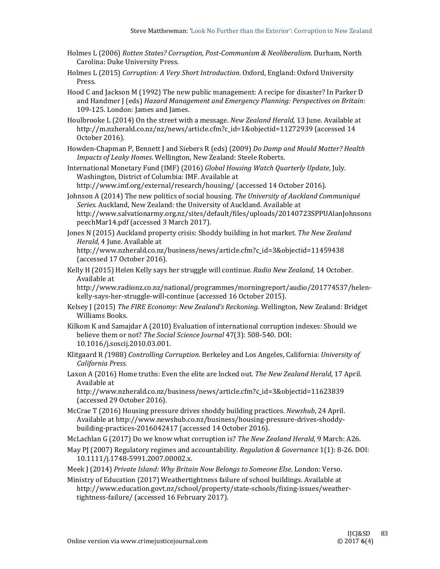- Holmes L (2006) *Rotten States? Corruption, Post‐Communism & Neoliberalism*. Durham, North Carolina: Duke University Press.
- Holmes L (2015) *Corruption: A Very Short Introduction*. Oxford, England: Oxford University Press.
- Hood C and Jackson M (1992) The new public management: A recipe for disaster? In Parker D and Handmer J (eds) *Hazard Management and Emergency Planning: Perspectives on Britain*: 109-125. London: James and James.
- Houlbrooke L (2014) On the street with a message. *New Zealand Herald*, 13 June. Available at http://m.nzherald.co.nz/nz/news/article.cfm?c\_id=1&objectid=11272939 (accessed 14 October 2016).
- Howden‐Chapman P, Bennett J and Siebers R (eds) (2009) *Do Damp and Mould Matter? Health Impacts of Leaky Homes*. Wellington, New Zealand: Steele Roberts.

International Monetary Fund (IMF) (2016) *Global Housing Watch Quarterly Update*, July. Washington, District of Columbia: IMF. Available at http://www.imf.org/external/research/housing/ (accessed 14 October 2016).

- Johnson A (2014) The new politics of social housing. *The University of Auckland Communiqué* Series. Auckland, New Zealand: the University of Auckland. Available at http://www.salvationarmy.org.nz/sites/default/files/uploads/20140723SPPUAlanJohnsons peechMar14.pdf (accessed 3 March 2017).
- Jones N (2015) Auckland property crisis: Shoddy building in hot market. *The New Zealand Herald*, 4 June. Available at

http://www.nzherald.co.nz/business/news/article.cfm?c\_id=3&objectid=11459438 (accessed 17 October 2016).

Kelly H (2015) Helen Kelly says her struggle will continue. *Radio New Zealand*, 14 October. Available at

http://www.radionz.co.nz/national/programmes/morningreport/audio/201774537/helen‐ kelly-says-her-struggle-will-continue (accessed 16 October 2015).

- Kelsey J (2015) *The FIRE Economy: New Zealand's Reckoning*. Wellington, New Zealand: Bridget Williams Books.
- Kilkom K and Samajdar A (2010) Evaluation of international corruption indexes: Should we believe them or not? *The Social Science Journal* 47(3): 508-540. DOI: 10.1016/j.soscij.2010.03.001.
- Klitgaard R *(*1988) *Controlling Corruption.* Berkeley and Los Angeles, California: *University of California Press.*
- Laxon A (2016) Home truths: Even the elite are locked out. The *New Zealand Herald*, 17 April. Available at

http://www.nzherald.co.nz/business/news/article.cfm?c\_id=3&objectid=11623839 (accessed 29 October 2016).

McCrae T (2016) Housing pressure drives shoddy building practices. *Newshub*, 24 April. Available at http://www.newshub.co.nz/business/housing-pressure-drives-shoddybuilding-practices-2016042417 (accessed 14 October 2016).

McLachlan G (2017) Do we know what corruption is? The New Zealand Herald, 9 March: A26.

- May PJ (2007) Regulatory regimes and accountability. *Regulation & Governance* 1(1): 8-26. DOI: 10.1111/j.1748‐5991.2007.00002.x.
- Meek J (2014) *Private Island: Why Britain Now Belongs to Someone Else.* London: Verso.
- Ministry of Education (2017) Weathertightness failure of school buildings. Available at http://www.education.govt.nz/school/property/state‐schools/fixing‐issues/weather‐ tightness-failure/ (accessed 16 February 2017).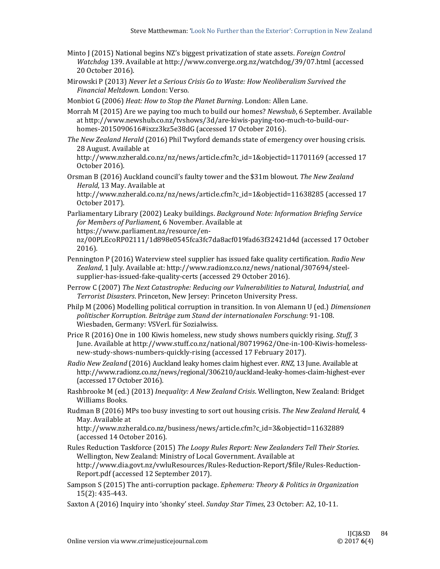- Minto J (2015) National begins NZ's biggest privatization of state assets. *Foreign Control Watchdog* 139. Available at http://www.converge.org.nz/watchdog/39/07.html (accessed 20 October 2016).
- Mirowski P (2013) *Never let a Serious Crisis Go to Waste: How Neoliberalism Survived the Financial Meltdown.* London: Verso.

Monbiot G (2006) *Heat: How to Stop the Planet Burning*. London: Allen Lane.

- Morrah M (2015) Are we paying too much to build our homes? *Newshub*, 6 September. Available at http://www.newshub.co.nz/tvshows/3d/are-kiwis-paying-too-much-to-build-ourhomes-2015090616#ixzz3kz5e38dG (accessed 17 October 2016).
- *The New Zealand Herald* (2016) Phil Twyford demands state of emergency over housing crisis. 28 August. Available at http://www.nzherald.co.nz/nz/news/article.cfm?c\_id=1&objectid=11701169 (accessed 17 October 2016).
- Orsman B (2016) Auckland council's faulty tower and the \$31m blowout. The New Zealand *Herald*, 13 May. Available at

http://www.nzherald.co.nz/nz/news/article.cfm?c\_id=1&objectid=11638285 (accessed 17 October 2017). 

Parliamentary Library (2002) Leaky buildings. *Background Note: Information Briefing Service for Members of Parliament*, 6 November. Available at https://www.parliament.nz/resource/en‐

nz/00PLEcoRP02111/1d898e0545fca3fc7da8acf019fad63f32421d4d (accessed 17 October 2016). 

- Pennington P (2016) Waterview steel supplier has issued fake quality certification. *Radio New* Zealand, 1 July. Available at: http://www.radionz.co.nz/news/national/307694/steelsupplier-has-issued-fake-quality-certs (accessed 29 October 2016).
- Perrow C (2007) *The Next Catastrophe: Reducing our Vulnerabilities to Natural, Industrial, and Terrorist Disasters*. Princeton, New Jersey: Princeton University Press.
- Philp M (2006) Modelling political corruption in transition. In von Alemann U (ed.) *Dimensionen politischer Korruption. Beiträge zum Stand der internationalen Forschung*: 91‐108. Wiesbaden, Germany: VSVerl. für Sozialwiss.
- Price R (2016) One in 100 Kiwis homeless, new study shows numbers quickly rising. *Stuff*, 3 June. Available at http://www.stuff.co.nz/national/80719962/One-in-100-Kiwis-homelessnew-study-shows-numbers-quickly-rising (accessed 17 February 2017).
- *Radio New Zealand* (2016) Auckland leaky homes claim highest ever. *RNZ*, 13 June. Available at http://www.radionz.co.nz/news/regional/306210/auckland‐leaky‐homes‐claim‐highest‐ever (accessed 17 October 2016).
- Rashbrooke M (ed.) (2013) *Inequality: A New Zealand Crisis*. Wellington, New Zealand: Bridget Williams Books.
- Rudman B (2016) MPs too busy investing to sort out housing crisis. The New Zealand Herald, 4 May. Available at

http://www.nzherald.co.nz/business/news/article.cfm?c\_id=3&objectid=11632889 (accessed 14 October 2016). 

- Rules Reduction Taskforce (2015) *The Loopy Rules Report: New Zealanders Tell Their Stories*. Wellington, New Zealand: Ministry of Local Government. Available at http://www.dia.govt.nz/vwluResources/Rules‐Reduction‐Report/\$file/Rules‐Reduction‐ Report.pdf (accessed 12 September 2017).
- Sampson S (2015) The anti‐corruption package. *Ephemera: Theory & Politics in Organization* 15(2): 435‐443.
- Saxton A (2016) Inquiry into 'shonky' steel. *Sunday Star Times*, 23 October: A2, 10-11.